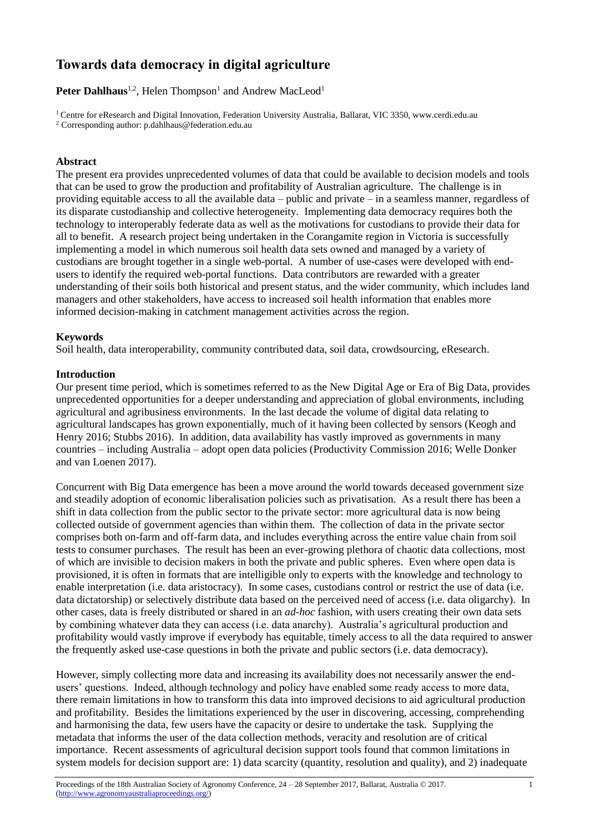# **Towards data democracy in digital agriculture**

Peter Dahlhaus<sup>1,2</sup>, Helen Thompson<sup>1</sup> and Andrew MacLeod<sup>1</sup>

<sup>1</sup> Centre for eResearch and Digital Innovation, Federation University Australia, Ballarat, VIC 3350, www.cerdi.edu.au <sup>2</sup> Corresponding author[: p.dahlhaus@federation.edu.au](mailto:p.dahlhaus@federation.edu.au)

#### **Abstract**

The present era provides unprecedented volumes of data that could be available to decision models and tools that can be used to grow the production and profitability of Australian agriculture. The challenge is in providing equitable access to all the available data – public and private – in a seamless manner, regardless of its disparate custodianship and collective heterogeneity. Implementing data democracy requires both the technology to interoperably federate data as well as the motivations for custodians to provide their data for all to benefit. A research project being undertaken in the Corangamite region in Victoria is successfully implementing a model in which numerous soil health data sets owned and managed by a variety of custodians are brought together in a single web-portal. A number of use-cases were developed with endusers to identify the required web-portal functions. Data contributors are rewarded with a greater understanding of their soils both historical and present status, and the wider community, which includes land managers and other stakeholders, have access to increased soil health information that enables more informed decision-making in catchment management activities across the region.

## **Keywords**

Soil health, data interoperability, community contributed data, soil data, crowdsourcing, eResearch.

## **Introduction**

Our present time period, which is sometimes referred to as the New Digital Age or Era of Big Data, provides unprecedented opportunities for a deeper understanding and appreciation of global environments, including agricultural and agribusiness environments. In the last decade the volume of digital data relating to agricultural landscapes has grown exponentially, much of it having been collected by sensors (Keogh and Henry 2016; Stubbs 2016). In addition, data availability has vastly improved as governments in many countries – including Australia – adopt open data policies (Productivity Commission 2016; Welle Donker and van Loenen 2017).

Concurrent with Big Data emergence has been a move around the world towards deceased government size and steadily adoption of economic liberalisation policies such as privatisation. As a result there has been a shift in data collection from the public sector to the private sector: more agricultural data is now being collected outside of government agencies than within them. The collection of data in the private sector comprises both on-farm and off-farm data, and includes everything across the entire value chain from soil tests to consumer purchases. The result has been an ever-growing plethora of chaotic data collections, most of which are invisible to decision makers in both the private and public spheres. Even where open data is provisioned, it is often in formats that are intelligible only to experts with the knowledge and technology to enable interpretation (i.e. data aristocracy). In some cases, custodians control or restrict the use of data (i.e. data dictatorship) or selectively distribute data based on the perceived need of access (i.e. data oligarchy). In other cases, data is freely distributed or shared in an *ad-hoc* fashion, with users creating their own data sets by combining whatever data they can access (i.e. data anarchy). Australia's agricultural production and profitability would vastly improve if everybody has equitable, timely access to all the data required to answer the frequently asked use-case questions in both the private and public sectors (i.e. data democracy).

However, simply collecting more data and increasing its availability does not necessarily answer the endusers' questions. Indeed, although technology and policy have enabled some ready access to more data, there remain limitations in how to transform this data into improved decisions to aid agricultural production and profitability. Besides the limitations experienced by the user in discovering, accessing, comprehending and harmonising the data, few users have the capacity or desire to undertake the task. Supplying the metadata that informs the user of the data collection methods, veracity and resolution are of critical importance. Recent assessments of agricultural decision support tools found that common limitations in system models for decision support are: 1) data scarcity (quantity, resolution and quality), and 2) inadequate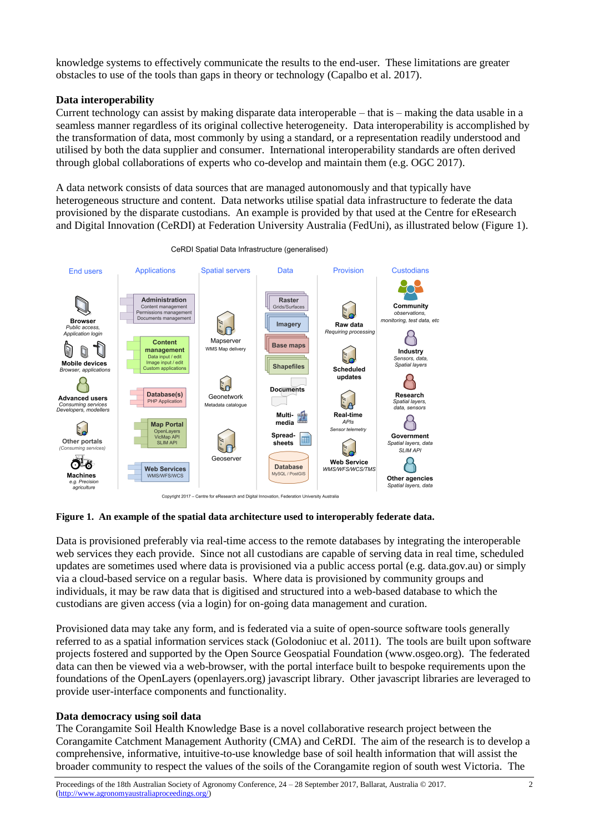knowledge systems to effectively communicate the results to the end-user. These limitations are greater obstacles to use of the tools than gaps in theory or technology (Capalbo et al. 2017).

## **Data interoperability**

Current technology can assist by making disparate data interoperable – that is – making the data usable in a seamless manner regardless of its original collective heterogeneity. Data interoperability is accomplished by the transformation of data, most commonly by using a standard, or a representation readily understood and utilised by both the data supplier and consumer. International interoperability standards are often derived through global collaborations of experts who co-develop and maintain them (e.g. OGC 2017).

A data network consists of data sources that are managed autonomously and that typically have heterogeneous structure and content. Data networks utilise spatial data infrastructure to federate the data provisioned by the disparate custodians. An example is provided by that used at the Centre for eResearch and Digital Innovation (CeRDI) at Federation University Australia (FedUni), as illustrated below (Figure 1).



CeRDI Spatial Data Infrastructure (generalised)

#### **Figure 1. An example of the spatial data architecture used to interoperably federate data.**

Data is provisioned preferably via real-time access to the remote databases by integrating the interoperable web services they each provide. Since not all custodians are capable of serving data in real time, scheduled updates are sometimes used where data is provisioned via a public access portal (e.g. data.gov.au) or simply via a cloud-based service on a regular basis. Where data is provisioned by community groups and individuals, it may be raw data that is digitised and structured into a web-based database to which the custodians are given access (via a login) for on-going data management and curation.

Provisioned data may take any form, and is federated via a suite of open-source software tools generally referred to as a spatial information services stack (Golodoniuc et al. 2011). The tools are built upon software projects fostered and supported by the Open Source Geospatial Foundation (www.osgeo.org). The federated data can then be viewed via a web-browser, with the portal interface built to bespoke requirements upon the foundations of the OpenLayers (openlayers.org) javascript library. Other javascript libraries are leveraged to provide user-interface components and functionality.

#### **Data democracy using soil data**

The Corangamite Soil Health Knowledge Base is a novel collaborative research project between the Corangamite Catchment Management Authority (CMA) and CeRDI. The aim of the research is to develop a comprehensive, informative, intuitive-to-use knowledge base of soil health information that will assist the broader community to respect the values of the soils of the Corangamite region of south west Victoria. The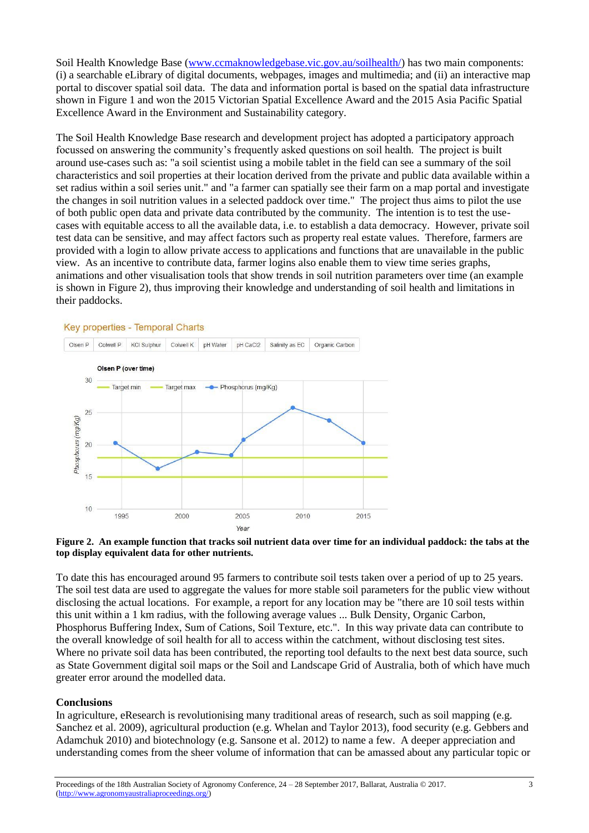Soil Health Knowledge Base [\(www.ccmaknowledgebase.vic.gov.au/soilhealth/\)](http://www.ccmaknowledgebase.vic.gov.au/soilhealth/) has two main components: (i) a searchable eLibrary of digital documents, webpages, images and multimedia; and (ii) an interactive map portal to discover spatial soil data. The data and information portal is based on the spatial data infrastructure shown in Figure 1 and won the 2015 Victorian Spatial Excellence Award and the 2015 Asia Pacific Spatial Excellence Award in the Environment and Sustainability category.

The Soil Health Knowledge Base research and development project has adopted a participatory approach focussed on answering the community's frequently asked questions on soil health. The project is built around use-cases such as: "a soil scientist using a mobile tablet in the field can see a summary of the soil characteristics and soil properties at their location derived from the private and public data available within a set radius within a soil series unit." and "a farmer can spatially see their farm on a map portal and investigate the changes in soil nutrition values in a selected paddock over time." The project thus aims to pilot the use of both public open data and private data contributed by the community. The intention is to test the usecases with equitable access to all the available data, i.e. to establish a data democracy. However, private soil test data can be sensitive, and may affect factors such as property real estate values. Therefore, farmers are provided with a login to allow private access to applications and functions that are unavailable in the public view. As an incentive to contribute data, farmer logins also enable them to view time series graphs, animations and other visualisation tools that show trends in soil nutrition parameters over time (an example is shown in Figure 2), thus improving their knowledge and understanding of soil health and limitations in their paddocks.





To date this has encouraged around 95 farmers to contribute soil tests taken over a period of up to 25 years. The soil test data are used to aggregate the values for more stable soil parameters for the public view without disclosing the actual locations. For example, a report for any location may be "there are 10 soil tests within this unit within a 1 km radius, with the following average values ... Bulk Density, Organic Carbon, Phosphorus Buffering Index, Sum of Cations, Soil Texture, etc.". In this way private data can contribute to the overall knowledge of soil health for all to access within the catchment, without disclosing test sites. Where no private soil data has been contributed, the reporting tool defaults to the next best data source, such as State Government digital soil maps or the Soil and Landscape Grid of Australia, both of which have much greater error around the modelled data.

# **Conclusions**

In agriculture, eResearch is revolutionising many traditional areas of research, such as soil mapping (e.g. Sanchez et al. 2009), agricultural production (e.g. Whelan and Taylor 2013), food security (e.g. Gebbers and Adamchuk 2010) and biotechnology (e.g. Sansone et al. 2012) to name a few. A deeper appreciation and understanding comes from the sheer volume of information that can be amassed about any particular topic or